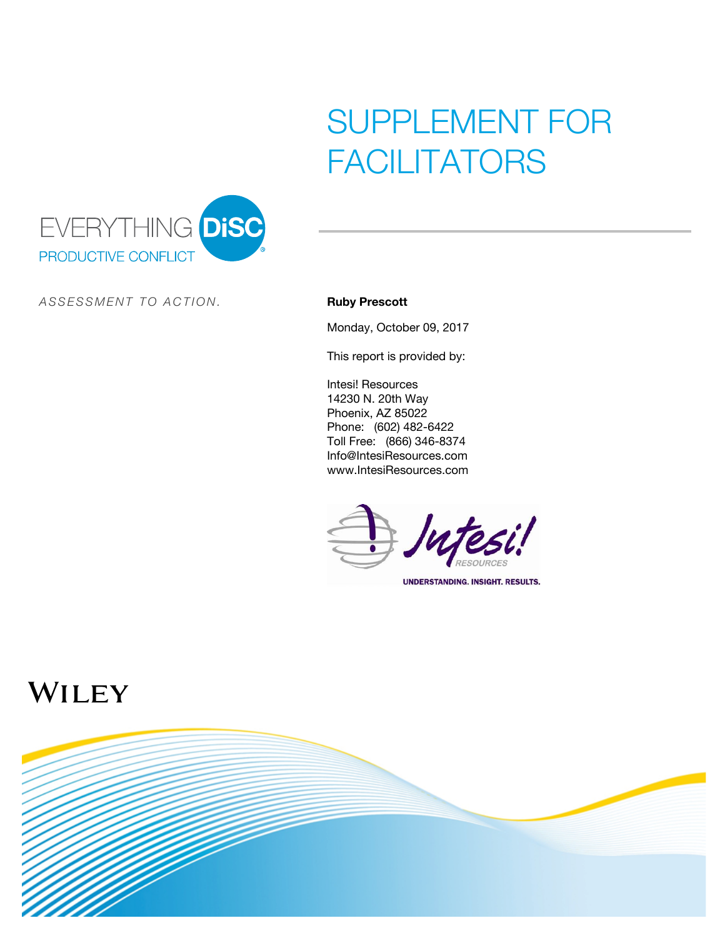# SUPPLEMENT FOR FACILITATORS



*A S S E S S M E N T T O A C TI O N .* **Ruby Prescott**

Monday, October 09, 2017

This report is provided by:

Intesi! Resources 14230 N. 20th Way Phoenix, AZ 85022 Phone: (602) 482-6422 Toll Free: (866) 346-8374 Info@IntesiResources.com www.IntesiResources.com



## WILEY

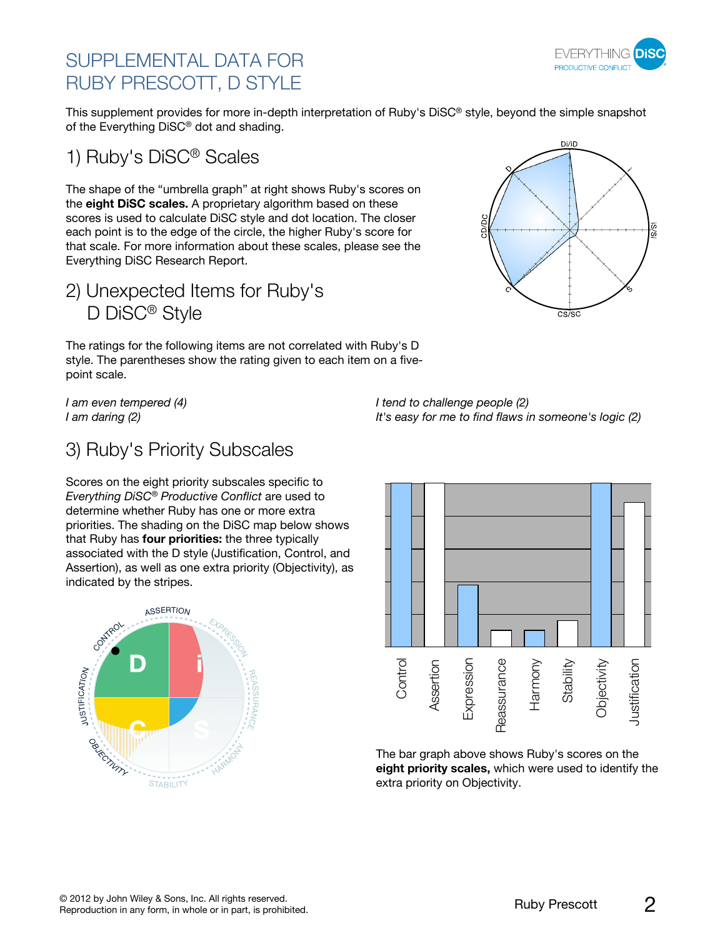### SUPPI FMENTAL DATA FOR RUBY PRESCOTT, D STYLE



This supplement provides for more in-depth interpretation of Ruby's DiSC® style, beyond the simple snapshot of the Everything DiSC® dot and shading.

1) Ruby's DiSC® Scales

The shape of the "umbrella graph" at right shows Ruby's scores on the **eight DiSC scales.** A proprietary algorithm based on these scores is used to calculate DiSC style and dot location. The closer each point is to the edge of the circle, the higher Ruby's score for that scale. For more information about these scales, please see the Everything DiSC Research Report.

2) Unexpected Items for Ruby's D DiSC® Style

The ratings for the following items are not correlated with Ruby's D style. The parentheses show the rating given to each item on a fivepoint scale.

*I am even tempered (4) I am daring (2)*



*I tend to challenge people (2) It's easy for me to find flaws in someone's logic (2)*

### 3) Ruby's Priority Subscales

Scores on the eight priority subscales specific to *Everything DiSC® Productive Conflict* are used to determine whether Ruby has one or more extra priorities. The shading on the DiSC map below shows that Ruby has **four priorities:** the three typically associated with the D style (Justification, Control, and Assertion), as well as one extra priority (Objectivity), as indicated by the stripes.





The bar graph above shows Ruby's scores on the **eight priority scales,** which were used to identify the extra priority on Objectivity.